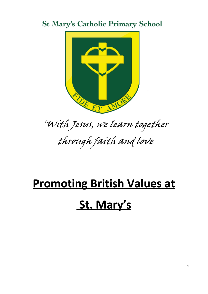### **St Mary's Catholic Primary School**



## 'With Jesus, we learn together through faith and love

# **Promoting British Values at St. Mary's**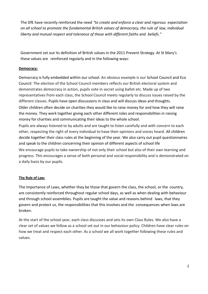The DfE have recently reinforced the need *"to create and enforce a clear and rigorous expectation on all school to promote the fundamental British values of democracy, the rule of law, individual liberty and mutual respect and tolerance of those with different faiths and beliefs."*

Government set out its definition of British values in the 2011 Prevent Strategy. At St Mary's these values are reinforced regularly and in the following ways:

#### **Democracy:**

Democracy is fully embedded within our school. An obvious example is our School Council and Eco Council. The election of the School Council members reflects our British electoral system and demonstrates democracy in action, pupils vote in secret using ballot etc. Made up of two representatives from each class, the School Council meets regularly to discuss issues raised by the different classes. Pupils have open discussions in class and will discuss ideas and thoughts. Older children often decide on charities they would like to raise money for and how they will raise the money. They work together giving each other different roles and responsibilities in raising money for charities and communicating their ideas to the whole school.

Pupils are always listened to by adults and are taught to listen carefully and with concern to each other, respecting the right of every individual to have their opinions and voices heard. All children decide together their class rules at the beginning of the year. We also carry out pupil questionnaires and speak to the children concerning their opinion of different aspects of school life

We encourage pupils to take ownership of not only their school but also of their own learning and progress. This encourages a sense of both personal and social responsibility and is demonstrated on a daily basis by our pupils.

#### **The Rule of Law:**

The importance of Laws, whether they be those that govern the class, the school, or the country, are consistently reinforced throughout regular school days, as well as when dealing with behaviour and through school assemblies. Pupils are taught the value and reasons behind laws, that they govern and protect us, the responsibilities that this involves and the consequences when laws are broken.

At the start of the school year, each class discusses and sets its own Class Rules. We also have a clear set of values we follow as a school set out in our behaviour policy. Children have clear rules on how we treat and respect each other. As a school we all work together following these rules and values.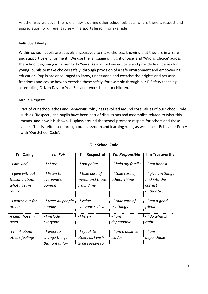Another way we cover the rule of law is during other school subjects, where there is respect and appreciation for different rules – in a sports lesson, for example

#### **Individual Liberty:**

Within school, pupils are actively encouraged to make choices, knowing that they are in a safe and supportive environment. We use the language of 'Right Choice' and 'Wrong Choice' across the school beginning in Lower Early Years. As a school we educate and provide boundaries for young pupils to make choices safely, through provision of a safe environment and empowering education. Pupils are encouraged to know, understand and exercise their rights and personal freedoms and advise how to exercise these safely, for example through our E-Safety teaching, assemblies, Citizen Day for Year Six and workshops for children.

#### **Mutual Respect:**

Part of our school ethos and Behaviour Policy has revolved around core values of our School Code such as 'Respect', and pupils have been part of discussions and assemblies related to what this means and how it is shown. Displays around the school promote respect for others and these values. This is reiterated through our classroom and learning rules, as well as our Behaviour Policy with 'Our School Code'.

| I'm Caring                                                    | I'm Fair                                        | I'm Respectful                                      | I'm Responsible                    | I'm Trustworthy                                                |
|---------------------------------------------------------------|-------------------------------------------------|-----------------------------------------------------|------------------------------------|----------------------------------------------------------------|
| - I am kind                                                   | - I share                                       | - I am polite                                       | - I help my family                 | - I am honest                                                  |
| - I give without<br>thinking about<br>what I get in<br>return | - I listen to<br>everyone's<br>opinion          | - I take care of<br>myself and those<br>around me   | - I take care of<br>others' things | - I give anything I<br>find into the<br>correct<br>authorities |
| - I watch out for<br>others                                   | - I treat all people<br>equally                 | - I value<br>everyone's view                        | - I take care of<br>my things      | - I am a good<br>friend                                        |
| -I help those in<br>need                                      | - Linclude<br>everyone                          | - I listen                                          | - I am<br>dependable               | - I do what is<br>right                                        |
| -I think about<br>others feelings                             | - I work to<br>change things<br>that are unfair | - I speak to<br>others as I wish<br>to be spoken to | - I am a positive<br>leader        | - I am<br>dependable                                           |

#### **Our School Code**